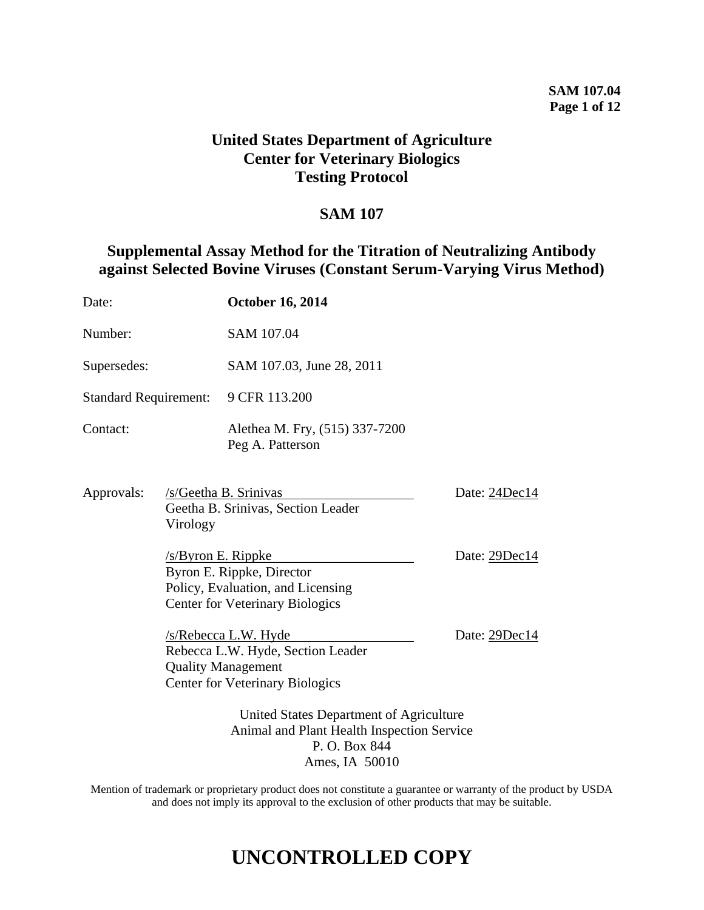### **SAM 107.04 Page 1 of 12**

## **United States Department of Agriculture Center for Veterinary Biologics Testing Protocol**

## **SAM 107**

## **Supplemental Assay Method for the Titration of Neutralizing Antibody against Selected Bovine Viruses (Constant Serum-Varying Virus Method)**

| Date:                                                                                                 |                       | <b>October 16, 2014</b>                                                                                                          |               |  |  |  |  |  |
|-------------------------------------------------------------------------------------------------------|-----------------------|----------------------------------------------------------------------------------------------------------------------------------|---------------|--|--|--|--|--|
| Number:                                                                                               |                       | SAM 107.04                                                                                                                       |               |  |  |  |  |  |
| Supersedes:                                                                                           |                       | SAM 107.03, June 28, 2011                                                                                                        |               |  |  |  |  |  |
| <b>Standard Requirement:</b>                                                                          |                       | 9 CFR 113.200                                                                                                                    |               |  |  |  |  |  |
| Contact:                                                                                              |                       | Alethea M. Fry, (515) 337-7200<br>Peg A. Patterson                                                                               |               |  |  |  |  |  |
| Approvals:<br>Virology                                                                                |                       | /s/Geetha B. Srinivas<br>Geetha B. Srinivas, Section Leader                                                                      | Date: 24Dec14 |  |  |  |  |  |
|                                                                                                       | $/s$ /Byron E. Rippke | Byron E. Rippke, Director<br>Policy, Evaluation, and Licensing<br><b>Center for Veterinary Biologics</b>                         | Date: 29Dec14 |  |  |  |  |  |
|                                                                                                       |                       | /s/Rebecca L.W. Hyde<br>Rebecca L.W. Hyde, Section Leader<br><b>Quality Management</b><br><b>Center for Veterinary Biologics</b> | Date: 29Dec14 |  |  |  |  |  |
| United States Department of Agriculture<br>Animal and Plant Health Inspection Service<br>P.O. Box 844 |                       |                                                                                                                                  |               |  |  |  |  |  |

Ames, IA 50010

Mention of trademark or proprietary product does not constitute a guarantee or warranty of the product by USDA and does not imply its approval to the exclusion of other products that may be suitable.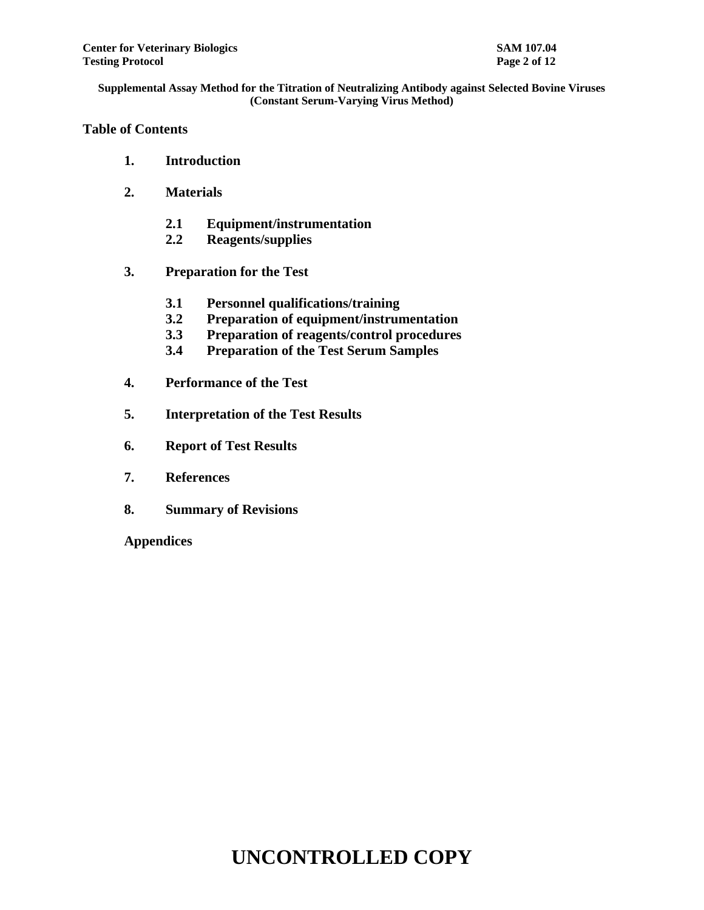## **Table of Contents**

- **1. Introduction**
- **2. Materials**
	- **2.1 Equipment/instrumentation**
	- **2.2 Reagents/supplies**
- **3. Preparation for the Test**
	- **3.1 Personnel qualifications/training**
	- **3.2 Preparation of equipment/instrumentation**
	- **3.3 Preparation of reagents/control procedures**
	- **3.4 Preparation of the Test Serum Samples**
- **4. Performance of the Test**
- **5. Interpretation of the Test Results**
- **6. Report of Test Results**
- **7. References**
- **8. Summary of Revisions**

**Appendices**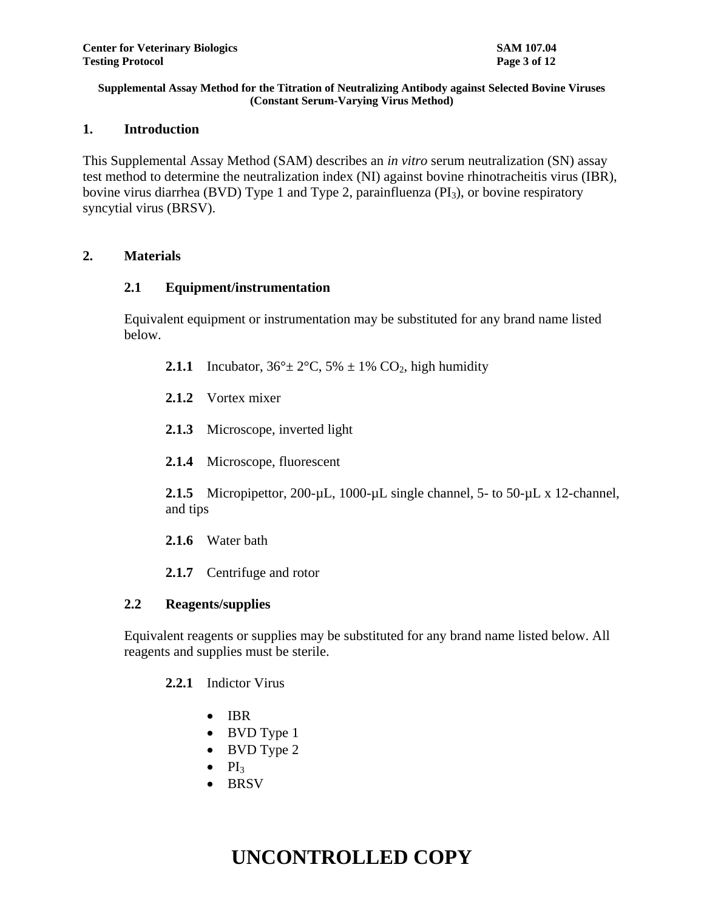## **1. Introduction**

This Supplemental Assay Method (SAM) describes an *in vitro* serum neutralization (SN) assay test method to determine the neutralization index (NI) against bovine rhinotracheitis virus (IBR), bovine virus diarrhea (BVD) Type 1 and Type 2, parainfluenza ( $PI_3$ ), or bovine respiratory syncytial virus (BRSV).

## **2. Materials**

## **2.1 Equipment/instrumentation**

Equivalent equipment or instrumentation may be substituted for any brand name listed below.

- **2.1.1** Incubator,  $36^{\circ} \pm 2^{\circ}$ C,  $5\% \pm 1\%$  CO<sub>2</sub>, high humidity
- **2.1.2** Vortex mixer
- **2.1.3** Microscope, inverted light
- **2.1.4** Microscope, fluorescent

2.1.5 Micropipettor, 200-µL, 1000-µL single channel, 5- to 50-µL x 12-channel, and tips

- **2.1.6** Water bath
- **2.1.7** Centrifuge and rotor

## **2.2 Reagents/supplies**

Equivalent reagents or supplies may be substituted for any brand name listed below. All reagents and supplies must be sterile.

## **2.2.1** Indictor Virus

- $\bullet$  IBR
- BVD Type 1
- BVD Type 2
- $\bullet$  PI<sub>3</sub>
- BRSV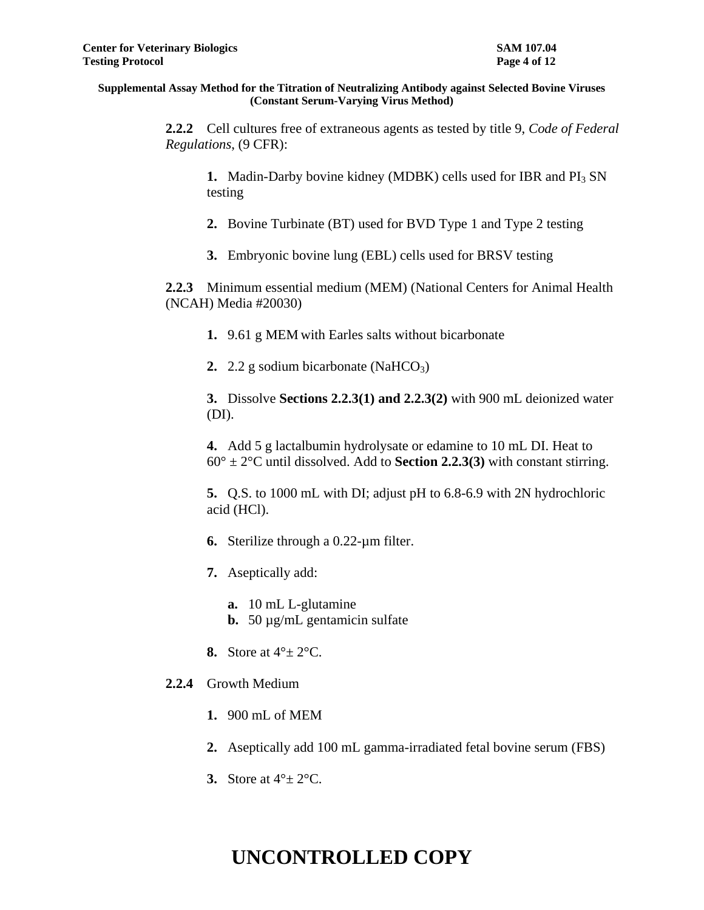**2.2.2** Cell cultures free of extraneous agents as tested by title 9, *Code of Federal Regulations*, (9 CFR):

**1.** Madin-Darby bovine kidney (MDBK) cells used for IBR and PI<sub>3</sub> SN testing

**2.** Bovine Turbinate (BT) used for BVD Type 1 and Type 2 testing

**3.** Embryonic bovine lung (EBL) cells used for BRSV testing

**2.2.3** Minimum essential medium (MEM) (National Centers for Animal Health (NCAH) Media #20030)

**1.** 9.61 g MEM with Earles salts without bicarbonate

**2.**  $2.2$  g sodium bicarbonate (NaHCO<sub>3</sub>)

**3.** Dissolve **Sections 2.2.3(1) and 2.2.3(2)** with 900 mL deionized water (DI).

**4.** Add 5 g lactalbumin hydrolysate or edamine to 10 mL DI. Heat to  $60^\circ \pm 2^\circ$ C until dissolved. Add to **Section 2.2.3(3)** with constant stirring.

**5.** Q.S. to 1000 mL with DI; adjust pH to 6.8-6.9 with 2N hydrochloric acid (HCl).

- **6.** Sterilize through a 0.22-µm filter.
- **7.** Aseptically add:

**a.** 10 mL L-glutamine **b.** 50 µg/mL gentamicin sulfate

**8.** Store at 4°± 2°C.

## **2.2.4** Growth Medium

- **1.** 900 mL of MEM
- **2.** Aseptically add 100 mL gamma-irradiated fetal bovine serum (FBS)
- **3.** Store at 4°± 2°C.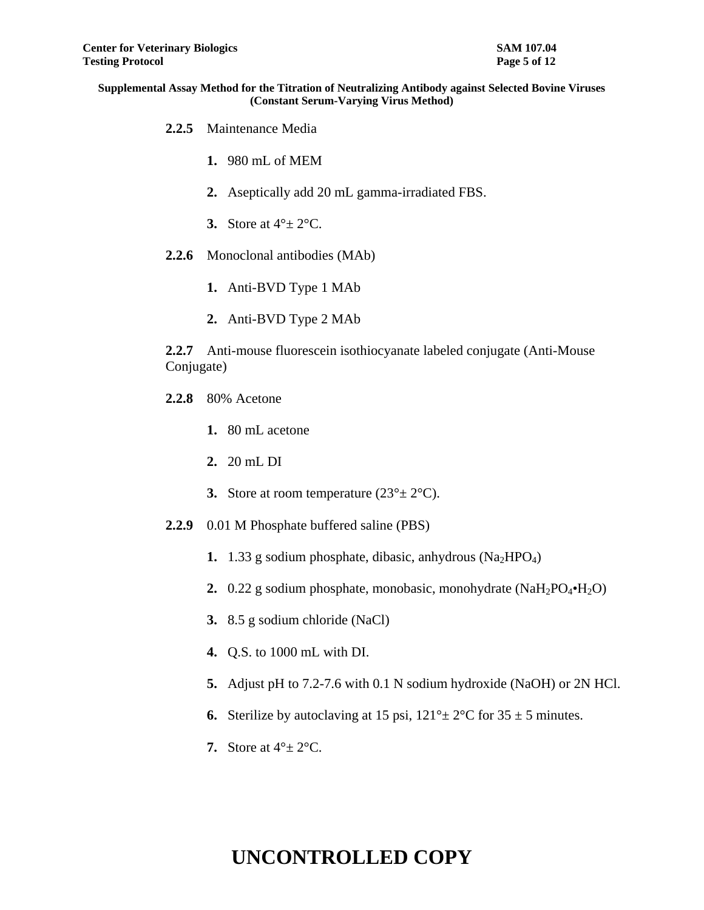- **2.2.5** Maintenance Media
	- **1.** 980 mL of MEM
	- **2.** Aseptically add 20 mL gamma-irradiated FBS.
	- **3.** Store at  $4^\circ \pm 2^\circ \text{C}$ .
- **2.2.6** Monoclonal antibodies (MAb)
	- **1.** Anti-BVD Type 1 MAb
	- **2.** Anti-BVD Type 2 MAb

**2.2.7** Anti-mouse fluorescein isothiocyanate labeled conjugate (Anti-Mouse Conjugate)

- **2.2.8** 80% Acetone
	- **1.** 80 mL acetone
	- **2.** 20 mL DI
	- **3.** Store at room temperature  $(23^\circ \pm 2^\circ \text{C})$ .
- **2.2.9** 0.01 M Phosphate buffered saline (PBS)
	- **1.** 1.33 g sodium phosphate, dibasic, anhydrous  $(Na_2HPO_4)$
	- **2.** 0.22 g sodium phosphate, monobasic, monohydrate (NaH<sub>2</sub>PO<sub>4</sub>•H<sub>2</sub>O)
	- **3.** 8.5 g sodium chloride (NaCl)
	- **4.** Q.S. to 1000 mL with DI.
	- **5.** Adjust pH to 7.2-7.6 with 0.1 N sodium hydroxide (NaOH) or 2N HCl.
	- **6.** Sterilize by autoclaving at 15 psi,  $121^\circ \pm 2^\circ \text{C}$  for  $35 \pm 5$  minutes.
	- **7.** Store at  $4^\circ \pm 2^\circ \text{C}$ .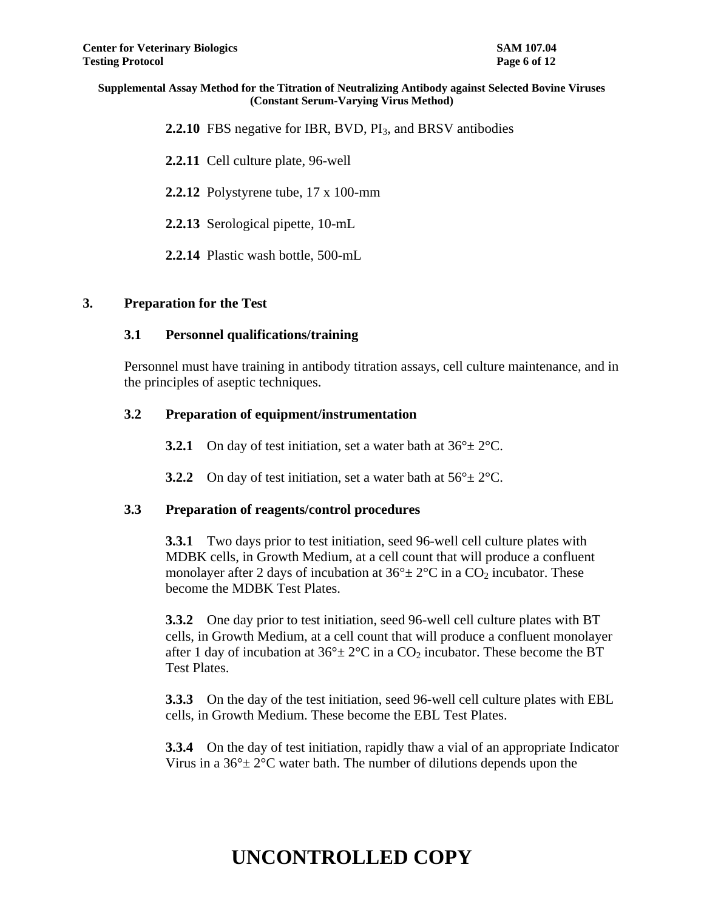**2.2.10** FBS negative for IBR, BVD, PI<sub>3</sub>, and BRSV antibodies

**2.2.11** Cell culture plate, 96-well

**2.2.12** Polystyrene tube, 17 x 100-mm

**2.2.13** Serological pipette, 10-mL

**2.2.14** Plastic wash bottle, 500-mL

#### **3. Preparation for the Test**

#### **3.1 Personnel qualifications/training**

Personnel must have training in antibody titration assays, cell culture maintenance, and in the principles of aseptic techniques.

#### **3.2 Preparation of equipment/instrumentation**

- **3.2.1** On day of test initiation, set a water bath at  $36^{\circ} \pm 2^{\circ}$ C.
- **3.2.2** On day of test initiation, set a water bath at  $56^{\circ} \pm 2^{\circ}$ C.

#### **3.3 Preparation of reagents/control procedures**

**3.3.1** Two days prior to test initiation, seed 96-well cell culture plates with MDBK cells, in Growth Medium, at a cell count that will produce a confluent monolayer after 2 days of incubation at  $36^{\circ} \pm 2^{\circ}$ C in a CO<sub>2</sub> incubator. These become the MDBK Test Plates.

**3.3.2** One day prior to test initiation, seed 96-well cell culture plates with BT cells, in Growth Medium, at a cell count that will produce a confluent monolayer after 1 day of incubation at  $36^{\circ} \pm 2^{\circ}$ C in a CO<sub>2</sub> incubator. These become the BT Test Plates.

**3.3.3** On the day of the test initiation, seed 96-well cell culture plates with EBL cells, in Growth Medium. These become the EBL Test Plates.

**3.3.4** On the day of test initiation, rapidly thaw a vial of an appropriate Indicator Virus in a  $36^{\circ}$  ±  $2^{\circ}$ C water bath. The number of dilutions depends upon the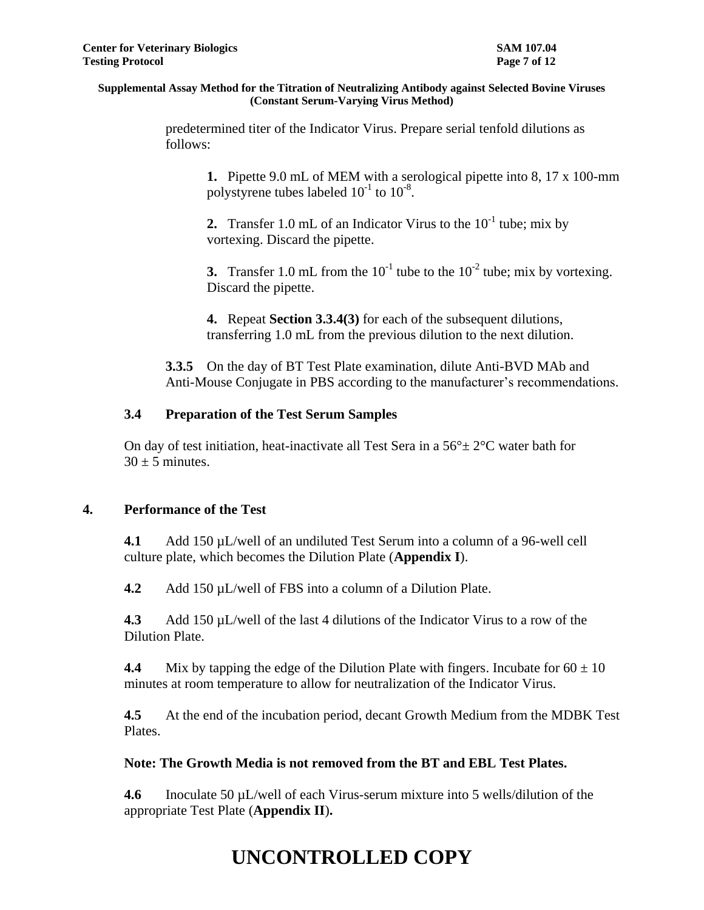predetermined titer of the Indicator Virus. Prepare serial tenfold dilutions as follows:

**1.** Pipette 9.0 mL of MEM with a serological pipette into 8, 17 x 100-mm polystyrene tubes labeled  $10^{-1}$  to  $10^{-8}$ .

**2.** Transfer 1.0 mL of an Indicator Virus to the  $10^{-1}$  tube; mix by vortexing. Discard the pipette.

**3.** Transfer 1.0 mL from the  $10^{-1}$  tube to the  $10^{-2}$  tube; mix by vortexing. Discard the pipette.

**4.** Repeat **Section 3.3.4(3)** for each of the subsequent dilutions, transferring 1.0 mL from the previous dilution to the next dilution.

**3.3.5** On the day of BT Test Plate examination, dilute Anti-BVD MAb and Anti-Mouse Conjugate in PBS according to the manufacturer's recommendations.

## **3.4 Preparation of the Test Serum Samples**

On day of test initiation, heat-inactivate all Test Sera in a  $56^{\circ} \pm 2^{\circ}$ C water bath for  $30 + 5$  minutes.

## **4. Performance of the Test**

**4.1** Add 150 µL/well of an undiluted Test Serum into a column of a 96-well cell culture plate, which becomes the Dilution Plate (**Appendix I**).

**4.2** Add 150 µL/well of FBS into a column of a Dilution Plate.

**4.3** Add 150 µL/well of the last 4 dilutions of the Indicator Virus to a row of the Dilution Plate.

**4.4** Mix by tapping the edge of the Dilution Plate with fingers. Incubate for  $60 \pm 10$ minutes at room temperature to allow for neutralization of the Indicator Virus.

**4.5** At the end of the incubation period, decant Growth Medium from the MDBK Test Plates.

## **Note: The Growth Media is not removed from the BT and EBL Test Plates.**

**4.6** Inoculate 50 µL/well of each Virus-serum mixture into 5 wells/dilution of the appropriate Test Plate (**Appendix II**)**.**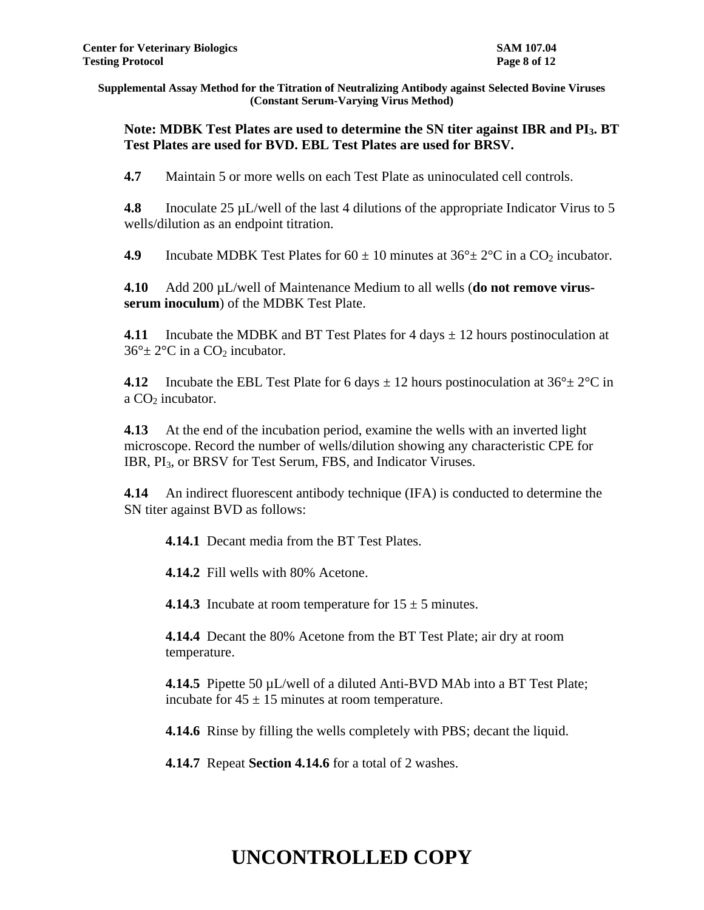## **Note: MDBK Test Plates are used to determine the SN titer against IBR and PI3. BT Test Plates are used for BVD. EBL Test Plates are used for BRSV.**

**4.7** Maintain 5 or more wells on each Test Plate as uninoculated cell controls.

**4.8** Inoculate 25 µL/well of the last 4 dilutions of the appropriate Indicator Virus to 5 wells/dilution as an endpoint titration.

**4.9** Incubate MDBK Test Plates for  $60 \pm 10$  minutes at  $36^{\circ} \pm 2^{\circ}$ C in a CO<sub>2</sub> incubator.

**4.10** Add 200 µL/well of Maintenance Medium to all wells (**do not remove virusserum inoculum**) of the MDBK Test Plate.

**4.11** Incubate the MDBK and BT Test Plates for 4 days ± 12 hours postinoculation at  $36^\circ \pm 2^\circ \text{C}$  in a CO<sub>2</sub> incubator.

**4.12** Incubate the EBL Test Plate for 6 days  $\pm$  12 hours postinoculation at 36 $\degree$  ± 2 $\degree$ C in a  $CO<sub>2</sub>$  incubator.

**4.13** At the end of the incubation period, examine the wells with an inverted light microscope. Record the number of wells/dilution showing any characteristic CPE for IBR, PI<sub>3</sub>, or BRSV for Test Serum, FBS, and Indicator Viruses.

**4.14** An indirect fluorescent antibody technique (IFA) is conducted to determine the SN titer against BVD as follows:

**4.14.1** Decant media from the BT Test Plates.

**4.14.2** Fill wells with 80% Acetone.

**4.14.3** Incubate at room temperature for  $15 \pm 5$  minutes.

**4.14.4** Decant the 80% Acetone from the BT Test Plate; air dry at room temperature.

**4.14.5** Pipette 50 µL/well of a diluted Anti-BVD MAb into a BT Test Plate; incubate for  $45 \pm 15$  minutes at room temperature.

**4.14.6** Rinse by filling the wells completely with PBS; decant the liquid.

**4.14.7** Repeat **Section 4.14.6** for a total of 2 washes.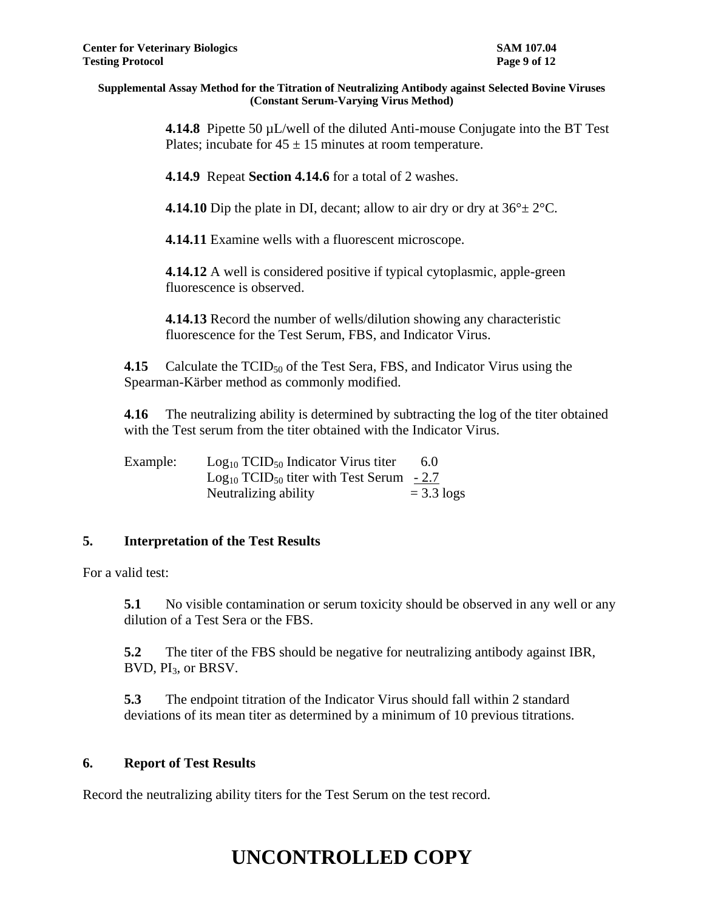**4.14.8** Pipette 50 µL/well of the diluted Anti-mouse Conjugate into the BT Test Plates; incubate for  $45 \pm 15$  minutes at room temperature.

**4.14.9** Repeat **Section 4.14.6** for a total of 2 washes.

**4.14.10** Dip the plate in DI, decant; allow to air dry or dry at  $36^{\circ} \pm 2^{\circ}$ C.

**4.14.11** Examine wells with a fluorescent microscope.

**4.14.12** A well is considered positive if typical cytoplasmic, apple-green fluorescence is observed.

**4.14.13** Record the number of wells/dilution showing any characteristic fluorescence for the Test Serum, FBS, and Indicator Virus.

**4.15** Calculate the  $TCID_{50}$  of the Test Sera, FBS, and Indicator Virus using the Spearman-Kärber method as commonly modified.

**4.16** The neutralizing ability is determined by subtracting the log of the titer obtained with the Test serum from the titer obtained with the Indicator Virus.

| Example: | $Log_{10}$ TCID <sub>50</sub> Indicator Virus titer       | 6.0          |
|----------|-----------------------------------------------------------|--------------|
|          | $Log_{10}$ TCID <sub>50</sub> titer with Test Serum - 2.7 |              |
|          | Neutralizing ability                                      | $=$ 3.3 logs |

## **5. Interpretation of the Test Results**

For a valid test:

**5.1** No visible contamination or serum toxicity should be observed in any well or any dilution of a Test Sera or the FBS.

**5.2** The titer of the FBS should be negative for neutralizing antibody against IBR, BVD, PI3, or BRSV.

**5.3** The endpoint titration of the Indicator Virus should fall within 2 standard deviations of its mean titer as determined by a minimum of 10 previous titrations.

## **6. Report of Test Results**

Record the neutralizing ability titers for the Test Serum on the test record.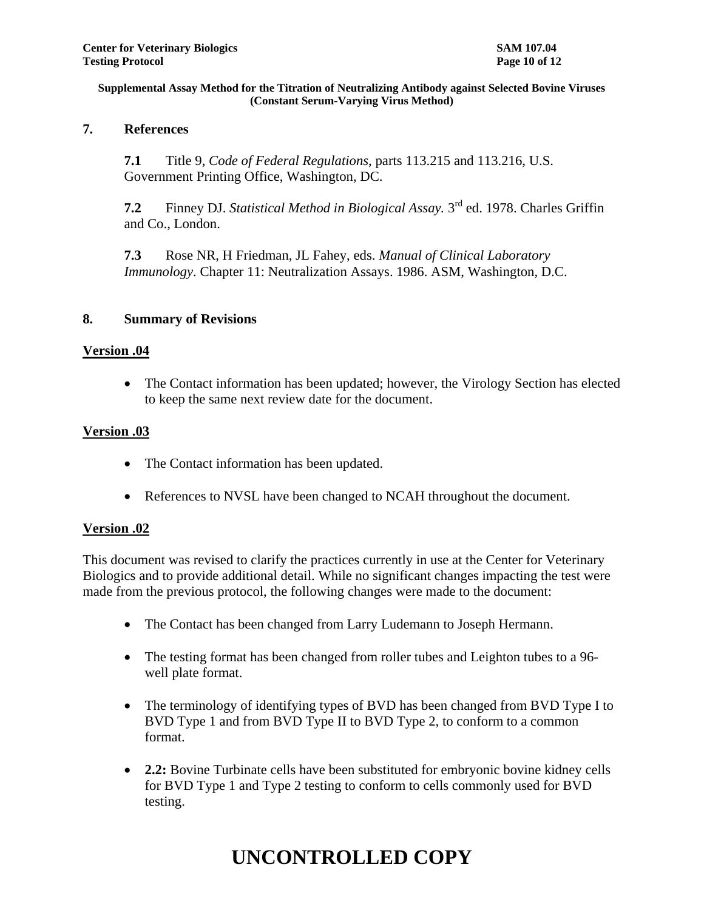## **7. References**

**7.1** Title 9, *Code of Federal Regulations*, parts 113.215 and 113.216, U.S. Government Printing Office, Washington, DC.

**7.2** Finney DJ. *Statistical Method in Biological Assay.* 3 rd ed. 1978. Charles Griffin and Co., London.

**7.3** Rose NR, H Friedman, JL Fahey, eds. *Manual of Clinical Laboratory Immunology*. Chapter 11: Neutralization Assays. 1986. ASM, Washington, D.C.

## **8. Summary of Revisions**

## **Version .04**

• The Contact information has been updated; however, the Virology Section has elected to keep the same next review date for the document.

## **Version .03**

- The Contact information has been updated.
- References to NVSL have been changed to NCAH throughout the document.

## **Version .02**

This document was revised to clarify the practices currently in use at the Center for Veterinary Biologics and to provide additional detail. While no significant changes impacting the test were made from the previous protocol, the following changes were made to the document:

- The Contact has been changed from Larry Ludemann to Joseph Hermann.
- The testing format has been changed from roller tubes and Leighton tubes to a 96well plate format.
- The terminology of identifying types of BVD has been changed from BVD Type I to BVD Type 1 and from BVD Type II to BVD Type 2, to conform to a common format.
- **2.2:** Bovine Turbinate cells have been substituted for embryonic bovine kidney cells for BVD Type 1 and Type 2 testing to conform to cells commonly used for BVD testing.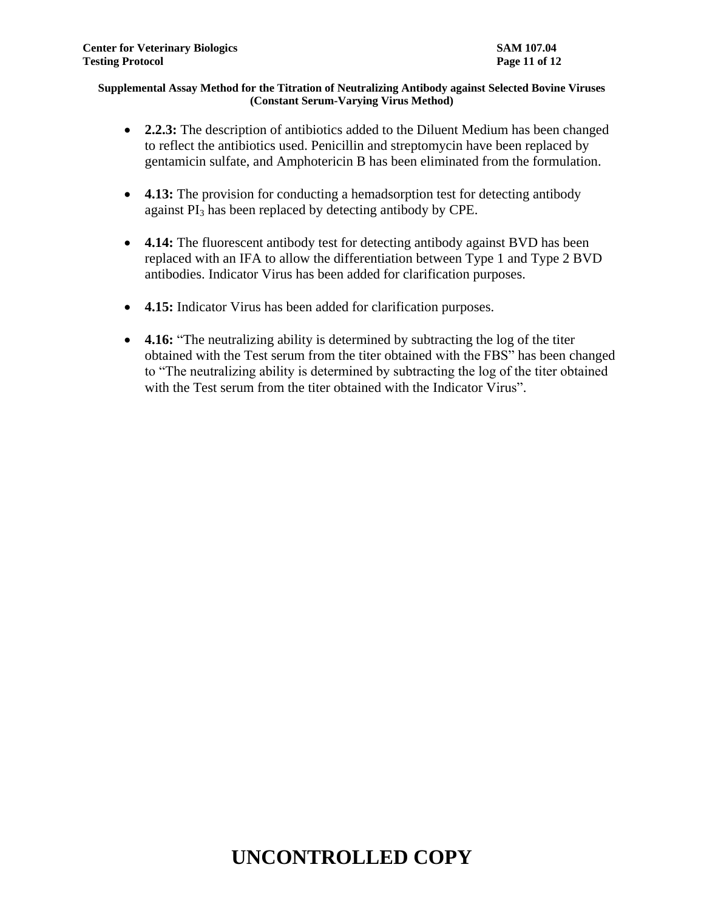- **2.2.3:** The description of antibiotics added to the Diluent Medium has been changed to reflect the antibiotics used. Penicillin and streptomycin have been replaced by gentamicin sulfate, and Amphotericin B has been eliminated from the formulation.
- **4.13:** The provision for conducting a hemadsorption test for detecting antibody against  $PI_3$  has been replaced by detecting antibody by CPE.
- **4.14:** The fluorescent antibody test for detecting antibody against BVD has been replaced with an IFA to allow the differentiation between Type 1 and Type 2 BVD antibodies. Indicator Virus has been added for clarification purposes.
- **4.15:** Indicator Virus has been added for clarification purposes.
- **4.16:** "The neutralizing ability is determined by subtracting the log of the titer obtained with the Test serum from the titer obtained with the FBS" has been changed to "The neutralizing ability is determined by subtracting the log of the titer obtained with the Test serum from the titer obtained with the Indicator Virus".